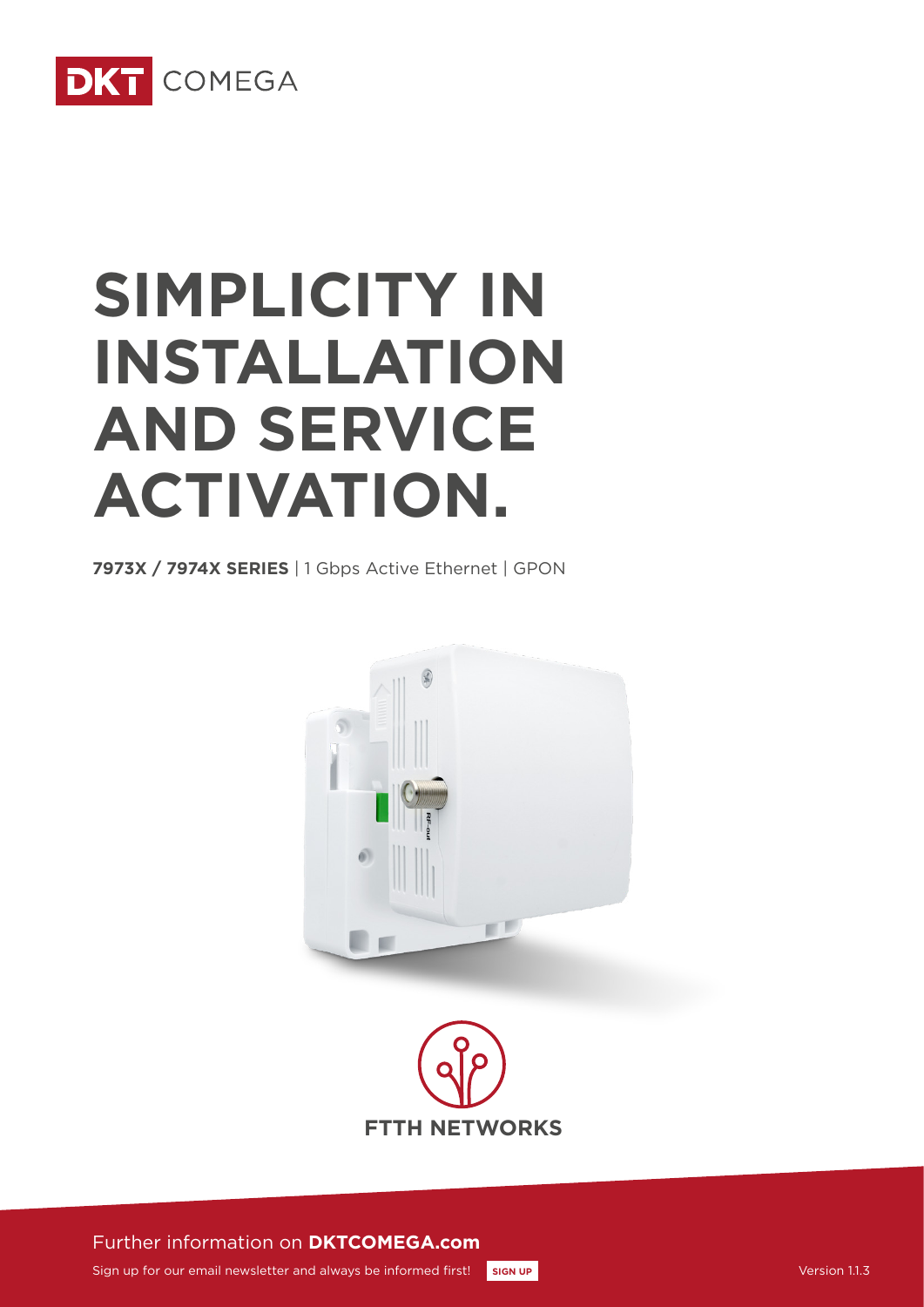

# **SIMPLICITY IN INSTALLATION AND SERVICE ACTIVATION.**

**7973X / 7974X SERIES** | 1 Gbps Active Ethernet | GPON





Further information on **DKTCOMEGA.com**

Sign up for our email newsletter and always be informed first! **[SIGN UP](http://www.dktcomega.com/#newsletter)**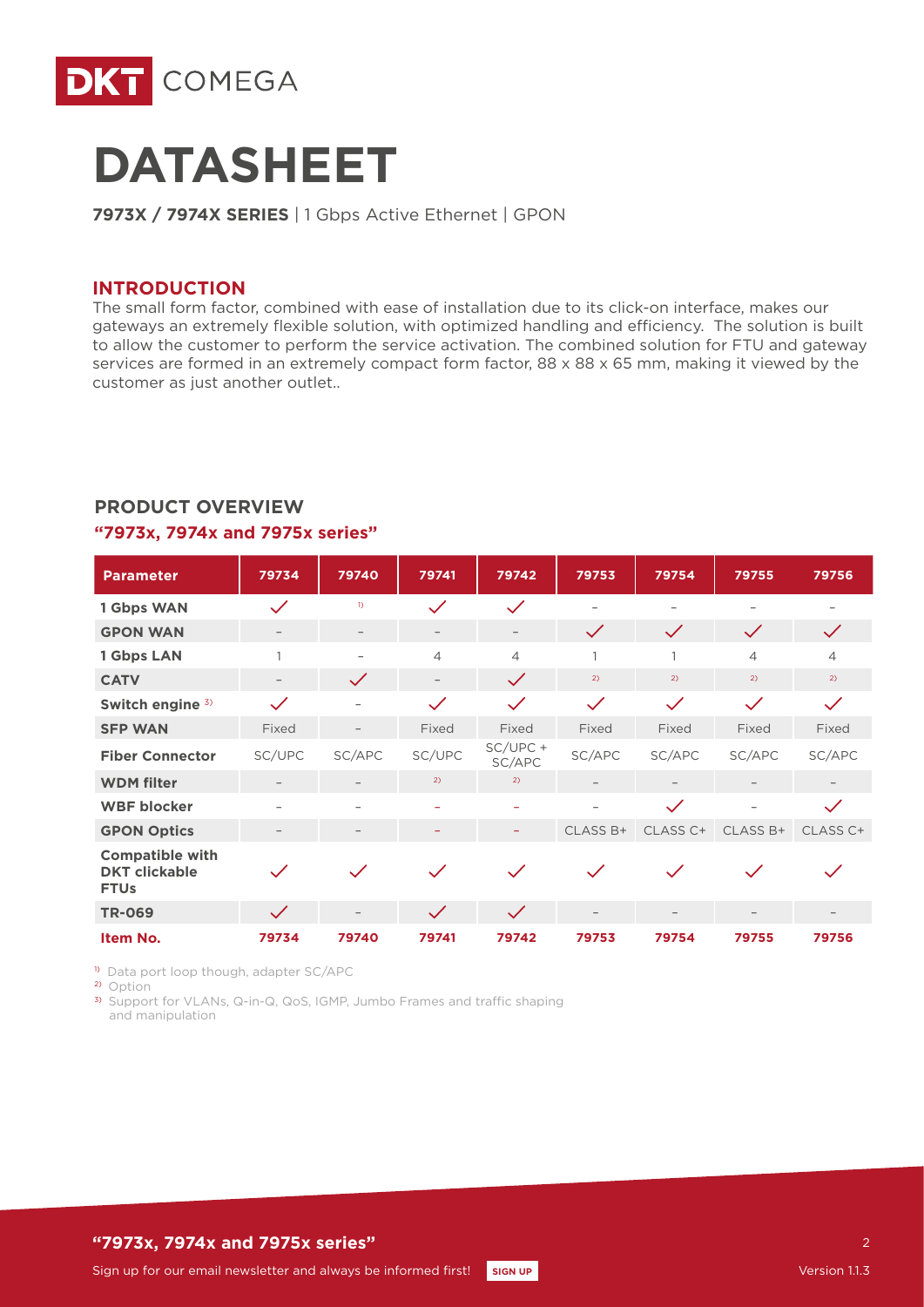



**7973X / 7974X SERIES** | 1 Gbps Active Ethernet | GPON

#### **INTRODUCTION**

The small form factor, combined with ease of installation due to its click-on interface, makes our gateways an extremely flexible solution, with optimized handling and efficiency. The solution is built to allow the customer to perform the service activation. The combined solution for FTU and gateway services are formed in an extremely compact form factor, 88 x 88 x 65 mm, making it viewed by the customer as just another outlet..

| <b>Parameter</b>                                              | 79734        | 79740                    | 79741                    | 79742                    | 79753                    | 79754                    | 79755                    | 79756        |
|---------------------------------------------------------------|--------------|--------------------------|--------------------------|--------------------------|--------------------------|--------------------------|--------------------------|--------------|
| 1 Gbps WAN                                                    | $\checkmark$ | $\mathbf{D}$             | $\checkmark$             | $\checkmark$             | $\overline{\phantom{0}}$ | $\overline{\phantom{a}}$ | $\overline{\phantom{0}}$ |              |
| <b>GPON WAN</b>                                               |              | $\overline{\phantom{m}}$ | $\overline{\phantom{m}}$ | $\overline{\phantom{m}}$ | $\checkmark$             | $\checkmark$             | $\checkmark$             | $\checkmark$ |
| 1 Gbps LAN                                                    |              |                          | $\overline{4}$           | $\overline{4}$           | 1                        |                          | $\overline{\mathcal{L}}$ | 4            |
| <b>CATV</b>                                                   |              | $\checkmark$             | $\overline{\phantom{a}}$ | $\checkmark$             | 2)                       | 2)                       | 2)                       | 2)           |
| Switch engine 3)                                              | $\checkmark$ |                          | $\checkmark$             | $\checkmark$             | $\checkmark$             | $\checkmark$             | $\checkmark$             | $\checkmark$ |
| <b>SFP WAN</b>                                                | Fixed        | $\overline{\phantom{0}}$ | Fixed                    | Fixed                    | Fixed                    | Fixed                    | Fixed                    | Fixed        |
| <b>Fiber Connector</b>                                        | SC/UPC       | SC/APC                   | SC/UPC                   | $SC/UPC +$<br>SC/APC     | SC/APC                   | SC/APC                   | SC/APC                   | SC/APC       |
| <b>WDM</b> filter                                             |              | $\qquad \qquad -$        | 2)                       | 2)                       | $\overline{\phantom{m}}$ |                          |                          |              |
| <b>WBF blocker</b>                                            |              | $\overline{\phantom{0}}$ | $\overline{\phantom{0}}$ | $\overline{\phantom{0}}$ |                          | $\checkmark$             | $\overline{\phantom{a}}$ | $\checkmark$ |
| <b>GPON Optics</b>                                            |              |                          |                          | ۳                        | CLASS B+                 | CLASS C+                 | CLASS B+                 | CLASS C+     |
| <b>Compatible with</b><br><b>DKT</b> clickable<br><b>FTUs</b> | $\checkmark$ | $\checkmark$             | $\checkmark$             | $\checkmark$             | $\checkmark$             | $\checkmark$             |                          |              |
| <b>TR-069</b>                                                 | $\checkmark$ | $\overline{\phantom{0}}$ | $\checkmark$             | $\checkmark$             | $\overline{\phantom{m}}$ |                          | $\overline{\phantom{m}}$ |              |
| Item No.                                                      | 79734        | 79740                    | 79741                    | 79742                    | 79753                    | 79754                    | 79755                    | 79756        |

# **PRODUCT OVERVIEW**

#### **"7973x, 7974x and 7975x series"**

1) Data port loop though, adapter SC/APC

2) Option

3) Support for VLANs, Q-in-Q, QoS, IGMP, Jumbo Frames and traffic shaping and manipulation

## **"7973x, 7974x and 7975x series"**

 $\overline{2}$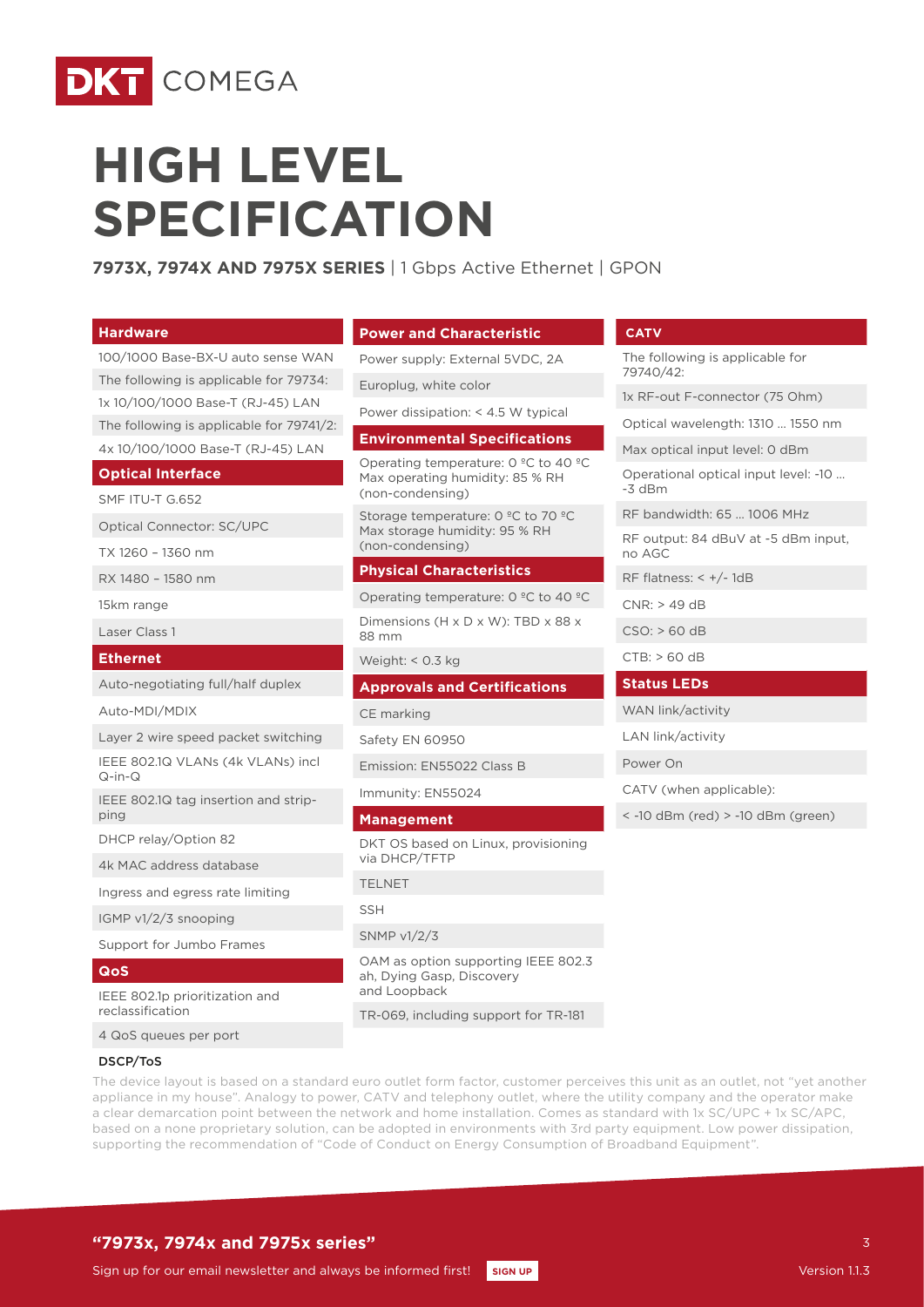

# **HIGH LEVEL SPECIFICATION**

**7973X, 7974X AND 7975X SERIES** | 1 Gbps Active Ethernet | GPON

| <b>Hardware</b>                                    | <b>Power and Characteristic</b>                                                                                | <b>CATV</b>                                      |  |
|----------------------------------------------------|----------------------------------------------------------------------------------------------------------------|--------------------------------------------------|--|
| 100/1000 Base-BX-U auto sense WAN                  | Power supply: External 5VDC, 2A                                                                                | The following is applicable for                  |  |
| The following is applicable for 79734:             | Europlug, white color                                                                                          | 79740/42:                                        |  |
| 1x 10/100/1000 Base-T (RJ-45) LAN                  | Power dissipation: < 4.5 W typical                                                                             | 1x RF-out F-connector (75 Ohm)                   |  |
| The following is applicable for 79741/2:           | <b>Environmental Specifications</b>                                                                            | Optical wavelength: 1310  1550 nm                |  |
| 4x 10/100/1000 Base-T (RJ-45) LAN                  |                                                                                                                | Max optical input level: 0 dBm                   |  |
| <b>Optical Interface</b>                           | Operating temperature: $0^{\circ}$ C to 40 $^{\circ}$ C<br>Max operating humidity: 85 % RH<br>(non-condensing) | Operational optical input level: -10<br>$-3$ dBm |  |
| SMF ITU-T G.652                                    | Storage temperature: 0 °C to 70 °C                                                                             | RF bandwidth: 65  1006 MHz                       |  |
| <b>Optical Connector: SC/UPC</b>                   | Max storage humidity: 95 % RH                                                                                  | RF output: 84 dBuV at -5 dBm input,              |  |
| TX 1260 - 1360 nm                                  | (non-condensing)                                                                                               | no AGC                                           |  |
| RX 1480 - 1580 nm                                  | <b>Physical Characteristics</b>                                                                                | RF flatness: $< +/- 1dB$                         |  |
| 15km range                                         | Operating temperature: $0^{\circ}$ C to 40 °C                                                                  | $CNR:$ > 49 dB                                   |  |
| Laser Class 1                                      | Dimensions (H x D x W): TBD x 88 x<br>88 mm                                                                    | $CSO:$ > 60 dB                                   |  |
| <b>Ethernet</b>                                    | Weight: < 0.3 kg                                                                                               | CTB: > 60 dB                                     |  |
| Auto-negotiating full/half duplex                  | <b>Approvals and Certifications</b>                                                                            | <b>Status LEDs</b>                               |  |
| Auto-MDI/MDIX                                      | CE marking                                                                                                     | WAN link/activity                                |  |
| Layer 2 wire speed packet switching                | Safety EN 60950                                                                                                | LAN link/activity                                |  |
| IEEE 802.1Q VLANs (4k VLANs) incl<br>$Q-in-Q$      | Emission: EN55022 Class B                                                                                      | Power On                                         |  |
| IEEE 802.1Q tag insertion and strip-               | Immunity: EN55024                                                                                              | CATV (when applicable):                          |  |
| ping                                               | <b>Management</b>                                                                                              | $\le$ -10 dBm (red) $>$ -10 dBm (green)          |  |
| DHCP relay/Option 82                               | DKT OS based on Linux, provisioning                                                                            |                                                  |  |
| 4k MAC address database                            | via DHCP/TFTP                                                                                                  |                                                  |  |
| Ingress and egress rate limiting                   | <b>TELNET</b>                                                                                                  |                                                  |  |
| IGMP $v1/2/3$ snooping                             | <b>SSH</b>                                                                                                     |                                                  |  |
| Support for Jumbo Frames                           | SNMP $v1/2/3$                                                                                                  |                                                  |  |
| Qos                                                | OAM as option supporting IEEE 802.3<br>ah, Dying Gasp, Discovery<br>and Loopback                               |                                                  |  |
| IEEE 802.1p prioritization and<br>reclassification | TR-069, including support for TR-181                                                                           |                                                  |  |
| 4 QoS queues per port                              |                                                                                                                |                                                  |  |
|                                                    |                                                                                                                |                                                  |  |

# DSCP/ToS

The device layout is based on a standard euro outlet form factor, customer perceives this unit as an outlet, not "yet another appliance in my house". Analogy to power, CATV and telephony outlet, where the utility company and the operator make a clear demarcation point between the network and home installation. Comes as standard with 1x SC/UPC + 1x SC/APC, based on a none proprietary solution, can be adopted in environments with 3rd party equipment. Low power dissipation, supporting the recommendation of "Code of Conduct on Energy Consumption of Broadband Equipment".

# **"7973x, 7974x and 7975x series"**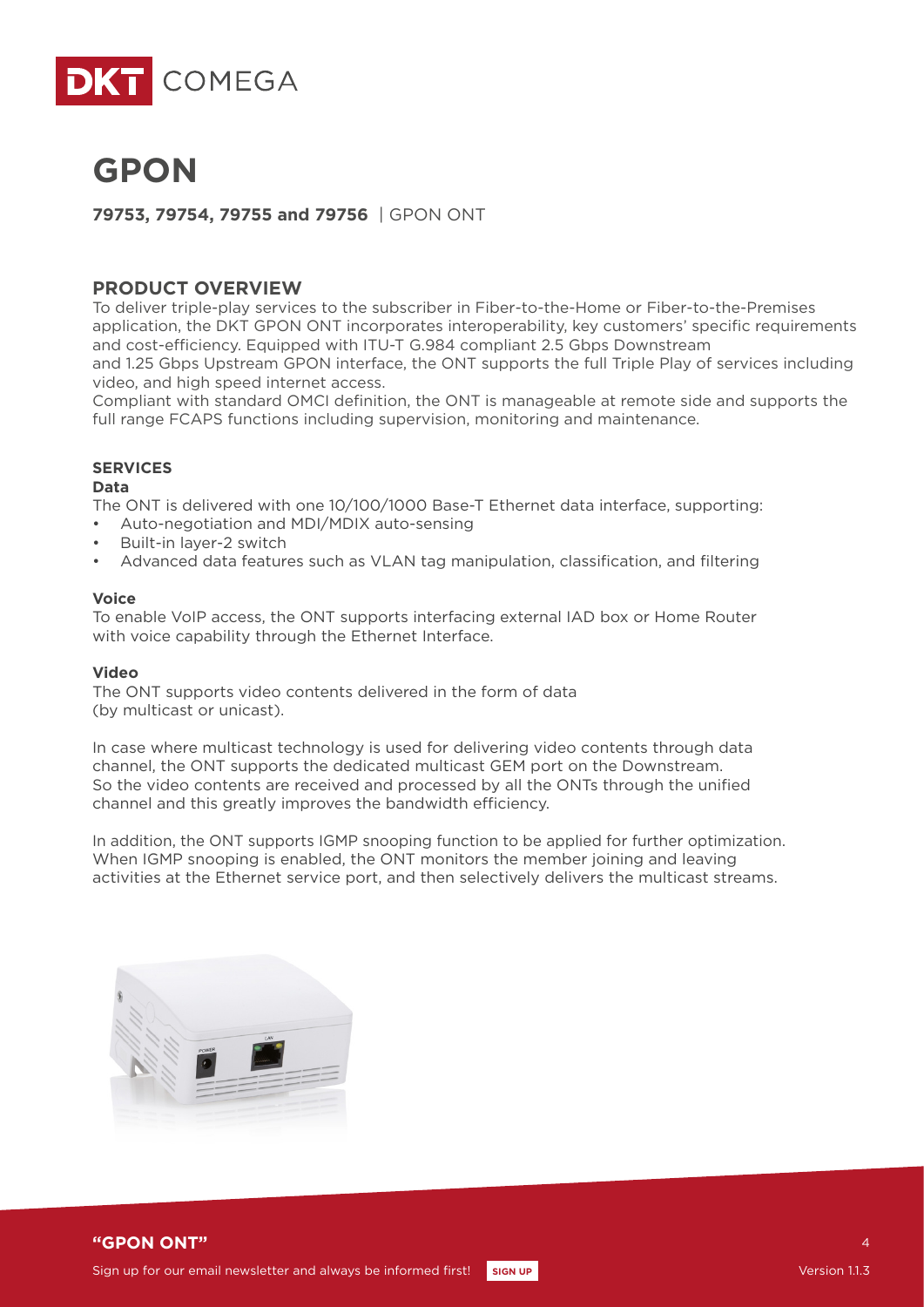



**79753, 79754, 79755 and 79756** | GPON ONT

# **PRODUCT OVERVIEW**

To deliver triple-play services to the subscriber in Fiber-to-the-Home or Fiber-to-the-Premises application, the DKT GPON ONT incorporates interoperability, key customers' specific requirements and cost-efficiency. Equipped with ITU-T G.984 compliant 2.5 Gbps Downstream and 1.25 Gbps Upstream GPON interface, the ONT supports the full Triple Play of services including video, and high speed internet access.

Compliant with standard OMCI definition, the ONT is manageable at remote side and supports the full range FCAPS functions including supervision, monitoring and maintenance.

## **SERVICES**

#### **Data**

The ONT is delivered with one 10/100/1000 Base-T Ethernet data interface, supporting:

- Auto-negotiation and MDI/MDIX auto-sensing
- Built-in layer-2 switch
- Advanced data features such as VLAN tag manipulation, classification, and filtering

#### **Voice**

To enable VoIP access, the ONT supports interfacing external IAD box or Home Router with voice capability through the Ethernet Interface.

#### **Video**

The ONT supports video contents delivered in the form of data (by multicast or unicast).

In case where multicast technology is used for delivering video contents through data channel, the ONT supports the dedicated multicast GEM port on the Downstream. So the video contents are received and processed by all the ONTs through the unified channel and this greatly improves the bandwidth efficiency.

In addition, the ONT supports IGMP snooping function to be applied for further optimization. When IGMP snooping is enabled, the ONT monitors the member joining and leaving activities at the Ethernet service port, and then selectively delivers the multicast streams.





4